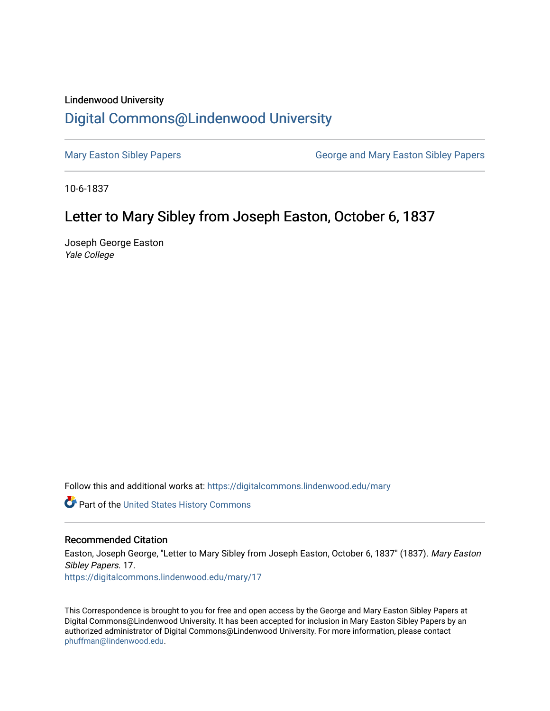## Lindenwood University

## [Digital Commons@Lindenwood University](https://digitalcommons.lindenwood.edu/)

[Mary Easton Sibley Papers](https://digitalcommons.lindenwood.edu/mary) **George and Mary Easton Sibley Papers** George and Mary Easton Sibley Papers

10-6-1837

## Letter to Mary Sibley from Joseph Easton, October 6, 1837

Joseph George Easton Yale College

Follow this and additional works at: [https://digitalcommons.lindenwood.edu/mary](https://digitalcommons.lindenwood.edu/mary?utm_source=digitalcommons.lindenwood.edu%2Fmary%2F17&utm_medium=PDF&utm_campaign=PDFCoverPages) 

Part of the [United States History Commons](http://network.bepress.com/hgg/discipline/495?utm_source=digitalcommons.lindenwood.edu%2Fmary%2F17&utm_medium=PDF&utm_campaign=PDFCoverPages) 

## Recommended Citation

Easton, Joseph George, "Letter to Mary Sibley from Joseph Easton, October 6, 1837" (1837). Mary Easton Sibley Papers. 17. [https://digitalcommons.lindenwood.edu/mary/17](https://digitalcommons.lindenwood.edu/mary/17?utm_source=digitalcommons.lindenwood.edu%2Fmary%2F17&utm_medium=PDF&utm_campaign=PDFCoverPages)

This Correspondence is brought to you for free and open access by the George and Mary Easton Sibley Papers at Digital Commons@Lindenwood University. It has been accepted for inclusion in Mary Easton Sibley Papers by an authorized administrator of Digital Commons@Lindenwood University. For more information, please contact [phuffman@lindenwood.edu](mailto:phuffman@lindenwood.edu).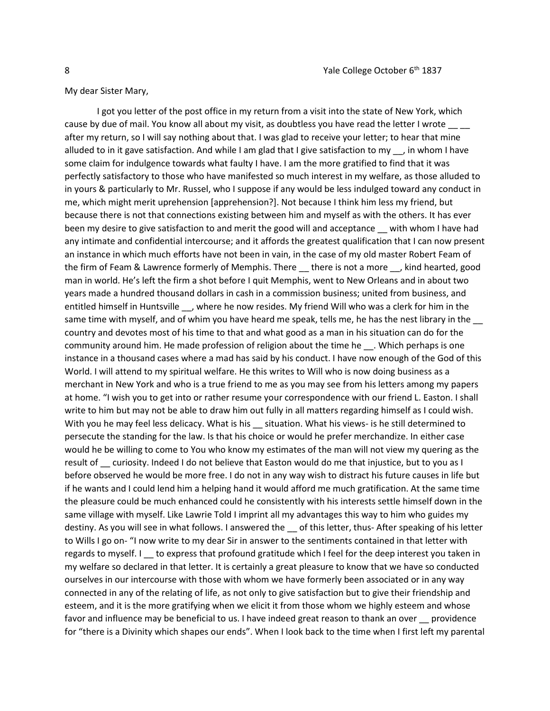My dear Sister Mary,

I got you letter of the post office in my return from a visit into the state of New York, which cause by due of mail. You know all about my visit, as doubtless you have read the letter I wrote after my return, so I will say nothing about that. I was glad to receive your letter; to hear that mine alluded to in it gave satisfaction. And while I am glad that I give satisfaction to my  $\ldots$ , in whom I have some claim for indulgence towards what faulty I have. I am the more gratified to find that it was perfectly satisfactory to those who have manifested so much interest in my welfare, as those alluded to in yours & particularly to Mr. Russel, who I suppose if any would be less indulged toward any conduct in me, which might merit uprehension [apprehension?]. Not because I think him less my friend, but because there is not that connections existing between him and myself as with the others. It has ever been my desire to give satisfaction to and merit the good will and acceptance with whom I have had any intimate and confidential intercourse; and it affords the greatest qualification that I can now present an instance in which much efforts have not been in vain, in the case of my old master Robert Feam of the firm of Feam & Lawrence formerly of Memphis. There there is not a more , kind hearted, good man in world. He's left the firm a shot before I quit Memphis, went to New Orleans and in about two years made a hundred thousand dollars in cash in a commission business; united from business, and entitled himself in Huntsville \_\_, where he now resides. My friend Will who was a clerk for him in the same time with myself, and of whim you have heard me speak, tells me, he has the nest library in the \_\_ country and devotes most of his time to that and what good as a man in his situation can do for the community around him. He made profession of religion about the time he \_\_\_. Which perhaps is one instance in a thousand cases where a mad has said by his conduct. I have now enough of the God of this World. I will attend to my spiritual welfare. He this writes to Will who is now doing business as a merchant in New York and who is a true friend to me as you may see from his letters among my papers at home. "I wish you to get into or rather resume your correspondence with our friend L. Easton. I shall write to him but may not be able to draw him out fully in all matters regarding himself as I could wish. With you he may feel less delicacy. What is his situation. What his views- is he still determined to persecute the standing for the law. Is that his choice or would he prefer merchandize. In either case would he be willing to come to You who know my estimates of the man will not view my quering as the result of \_\_ curiosity. Indeed I do not believe that Easton would do me that injustice, but to you as I before observed he would be more free. I do not in any way wish to distract his future causes in life but if he wants and I could lend him a helping hand it would afford me much gratification. At the same time the pleasure could be much enhanced could he consistently with his interests settle himself down in the same village with myself. Like Lawrie Told I imprint all my advantages this way to him who guides my destiny. As you will see in what follows. I answered the \_\_ of this letter, thus- After speaking of his letter to Wills I go on- "I now write to my dear Sir in answer to the sentiments contained in that letter with regards to myself. I to express that profound gratitude which I feel for the deep interest you taken in my welfare so declared in that letter. It is certainly a great pleasure to know that we have so conducted ourselves in our intercourse with those with whom we have formerly been associated or in any way connected in any of the relating of life, as not only to give satisfaction but to give their friendship and esteem, and it is the more gratifying when we elicit it from those whom we highly esteem and whose favor and influence may be beneficial to us. I have indeed great reason to thank an over providence for "there is a Divinity which shapes our ends". When I look back to the time when I first left my parental